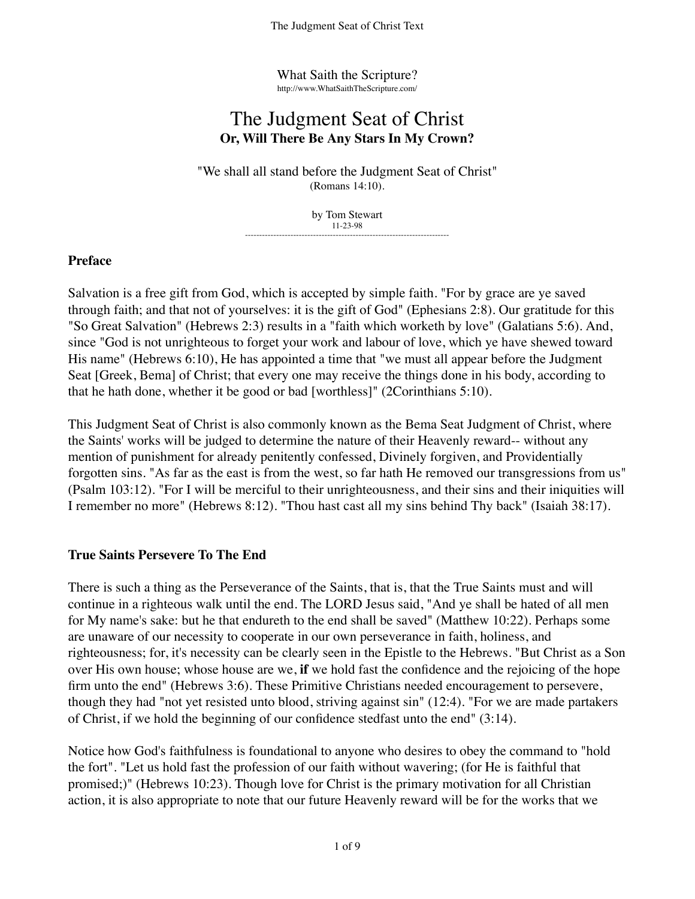What Saith the Scripture? http://www.WhatSaithTheScripture.com/

# The Judgment Seat of Christ **Or, Will There Be Any Stars In My Crown?**

"We shall all stand before the Judgment Seat of Christ" (Romans 14:10).

> by Tom Stewart 11-23-98 ------------------------------------------------------------------------

#### **Preface**

Salvation is a free gift from God, which is accepted by simple faith. "For by grace are ye saved through faith; and that not of yourselves: it is the gift of God" (Ephesians 2:8). Our gratitude for this "So Great Salvation" (Hebrews 2:3) results in a "faith which worketh by love" (Galatians 5:6). And, since "God is not unrighteous to forget your work and labour of love, which ye have shewed toward His name" (Hebrews 6:10), He has appointed a time that "we must all appear before the Judgment Seat [Greek, Bema] of Christ; that every one may receive the things done in his body, according to that he hath done, whether it be good or bad [worthless]" (2Corinthians 5:10).

This Judgment Seat of Christ is also commonly known as the Bema Seat Judgment of Christ, where the Saints' works will be judged to determine the nature of their Heavenly reward-- without any mention of punishment for already penitently confessed, Divinely forgiven, and Providentially forgotten sins. "As far as the east is from the west, so far hath He removed our transgressions from us" (Psalm 103:12). "For I will be merciful to their unrighteousness, and their sins and their iniquities will I remember no more" (Hebrews 8:12). "Thou hast cast all my sins behind Thy back" (Isaiah 38:17).

## **True Saints Persevere To The End**

There is such a thing as the Perseverance of the Saints, that is, that the True Saints must and will continue in a righteous walk until the end. The LORD Jesus said, "And ye shall be hated of all men for My name's sake: but he that endureth to the end shall be saved" (Matthew 10:22). Perhaps some are unaware of our necessity to cooperate in our own perseverance in faith, holiness, and righteousness; for, it's necessity can be clearly seen in the Epistle to the Hebrews. "But Christ as a Son over His own house; whose house are we, **if** we hold fast the confidence and the rejoicing of the hope firm unto the end" (Hebrews 3:6). These Primitive Christians needed encouragement to persevere, though they had "not yet resisted unto blood, striving against sin" (12:4). "For we are made partakers of Christ, if we hold the beginning of our confidence stedfast unto the end" (3:14).

Notice how God's faithfulness is foundational to anyone who desires to obey the command to "hold the fort". "Let us hold fast the profession of our faith without wavering; (for He is faithful that promised;)" (Hebrews 10:23). Though love for Christ is the primary motivation for all Christian action, it is also appropriate to note that our future Heavenly reward will be for the works that we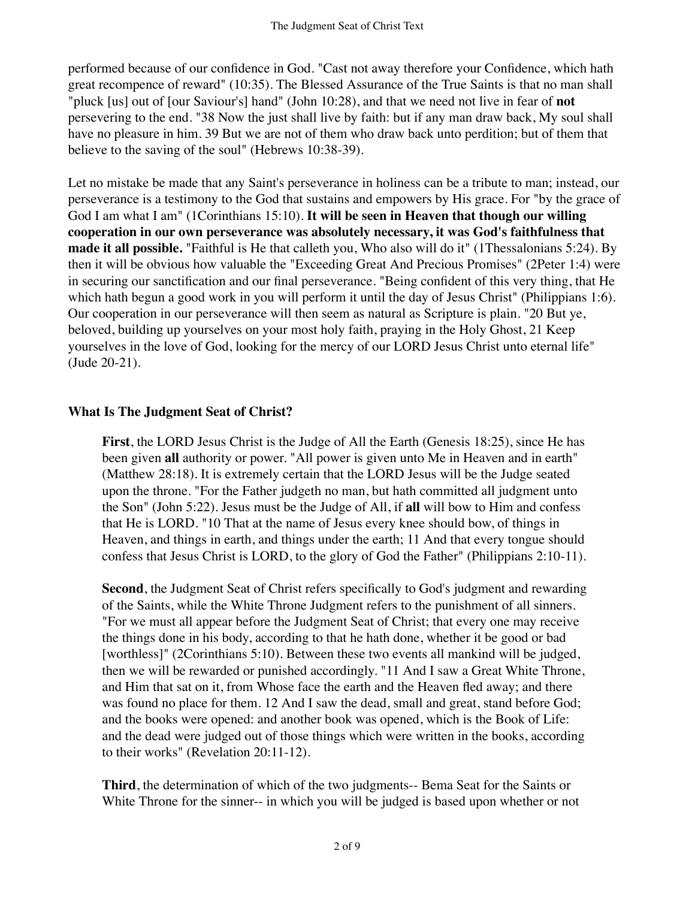performed because of our confidence in God. "Cast not away therefore your Confidence, which hath great recompence of reward" (10:35). The Blessed Assurance of the True Saints is that no man shall "pluck [us] out of [our Saviour's] hand" (John 10:28), and that we need not live in fear of **not** persevering to the end. "38 Now the just shall live by faith: but if any man draw back, My soul shall have no pleasure in him. 39 But we are not of them who draw back unto perdition; but of them that believe to the saving of the soul" (Hebrews 10:38-39).

Let no mistake be made that any Saint's perseverance in holiness can be a tribute to man; instead, our perseverance is a testimony to the God that sustains and empowers by His grace. For "by the grace of God I am what I am" (1Corinthians 15:10). **It will be seen in Heaven that though our willing cooperation in our own perseverance was absolutely necessary, it was God's faithfulness that made it all possible.** "Faithful is He that calleth you, Who also will do it" (1Thessalonians 5:24). By then it will be obvious how valuable the "Exceeding Great And Precious Promises" (2Peter 1:4) were in securing our sanctification and our final perseverance. "Being confident of this very thing, that He which hath begun a good work in you will perform it until the day of Jesus Christ" (Philippians 1:6). Our cooperation in our perseverance will then seem as natural as Scripture is plain. "20 But ye, beloved, building up yourselves on your most holy faith, praying in the Holy Ghost, 21 Keep yourselves in the love of God, looking for the mercy of our LORD Jesus Christ unto eternal life" (Jude 20-21).

#### **What Is The Judgment Seat of Christ?**

**First**, the LORD Jesus Christ is the Judge of All the Earth (Genesis 18:25), since He has been given **all** authority or power. "All power is given unto Me in Heaven and in earth" (Matthew 28:18). It is extremely certain that the LORD Jesus will be the Judge seated upon the throne. "For the Father judgeth no man, but hath committed all judgment unto the Son" (John 5:22). Jesus must be the Judge of All, if **all** will bow to Him and confess that He is LORD. "10 That at the name of Jesus every knee should bow, of things in Heaven, and things in earth, and things under the earth; 11 And that every tongue should confess that Jesus Christ is LORD, to the glory of God the Father" (Philippians 2:10-11).

**Second**, the Judgment Seat of Christ refers specifically to God's judgment and rewarding of the Saints, while the White Throne Judgment refers to the punishment of all sinners. "For we must all appear before the Judgment Seat of Christ; that every one may receive the things done in his body, according to that he hath done, whether it be good or bad [worthless]" (2Corinthians 5:10). Between these two events all mankind will be judged, then we will be rewarded or punished accordingly. "11 And I saw a Great White Throne, and Him that sat on it, from Whose face the earth and the Heaven fled away; and there was found no place for them. 12 And I saw the dead, small and great, stand before God; and the books were opened: and another book was opened, which is the Book of Life: and the dead were judged out of those things which were written in the books, according to their works" (Revelation 20:11-12).

**Third**, the determination of which of the two judgments-- Bema Seat for the Saints or White Throne for the sinner-- in which you will be judged is based upon whether or not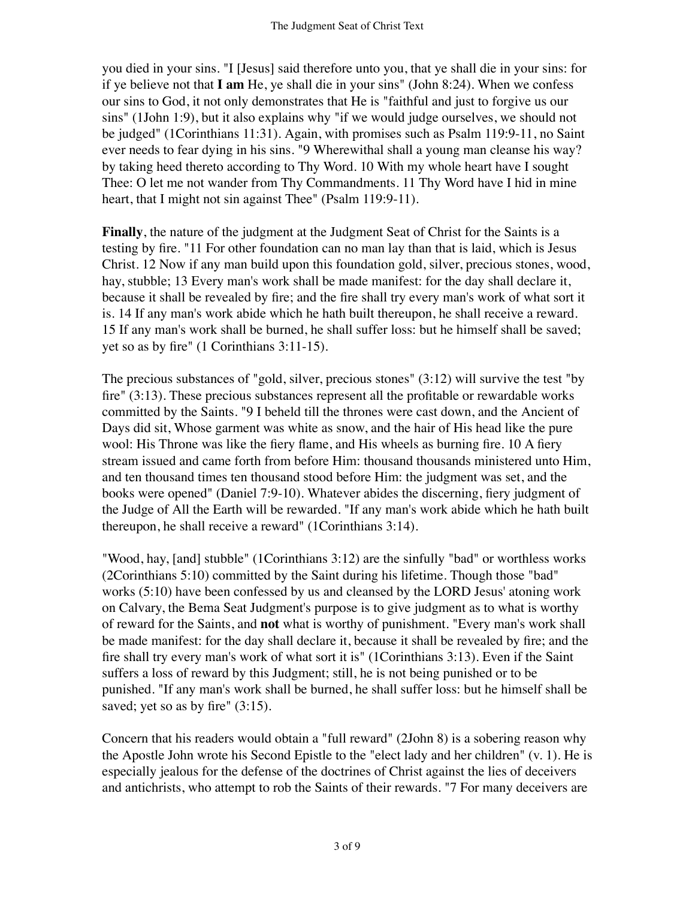you died in your sins. "I [Jesus] said therefore unto you, that ye shall die in your sins: for if ye believe not that **I am** He, ye shall die in your sins" (John 8:24). When we confess our sins to God, it not only demonstrates that He is "faithful and just to forgive us our sins" (1John 1:9), but it also explains why "if we would judge ourselves, we should not be judged" (1Corinthians 11:31). Again, with promises such as Psalm 119:9-11, no Saint ever needs to fear dying in his sins. "9 Wherewithal shall a young man cleanse his way? by taking heed thereto according to Thy Word. 10 With my whole heart have I sought Thee: O let me not wander from Thy Commandments. 11 Thy Word have I hid in mine heart, that I might not sin against Thee" (Psalm 119:9-11).

**Finally**, the nature of the judgment at the Judgment Seat of Christ for the Saints is a testing by fire. "11 For other foundation can no man lay than that is laid, which is Jesus Christ. 12 Now if any man build upon this foundation gold, silver, precious stones, wood, hay, stubble; 13 Every man's work shall be made manifest: for the day shall declare it, because it shall be revealed by fire; and the fire shall try every man's work of what sort it is. 14 If any man's work abide which he hath built thereupon, he shall receive a reward. 15 If any man's work shall be burned, he shall suffer loss: but he himself shall be saved; yet so as by fire" (1 Corinthians 3:11-15).

The precious substances of "gold, silver, precious stones" (3:12) will survive the test "by fire" (3:13). These precious substances represent all the profitable or rewardable works committed by the Saints. "9 I beheld till the thrones were cast down, and the Ancient of Days did sit, Whose garment was white as snow, and the hair of His head like the pure wool: His Throne was like the fiery flame, and His wheels as burning fire. 10 A fiery stream issued and came forth from before Him: thousand thousands ministered unto Him, and ten thousand times ten thousand stood before Him: the judgment was set, and the books were opened" (Daniel 7:9-10). Whatever abides the discerning, fiery judgment of the Judge of All the Earth will be rewarded. "If any man's work abide which he hath built thereupon, he shall receive a reward" (1Corinthians 3:14).

"Wood, hay, [and] stubble" (1Corinthians 3:12) are the sinfully "bad" or worthless works (2Corinthians 5:10) committed by the Saint during his lifetime. Though those "bad" works (5:10) have been confessed by us and cleansed by the LORD Jesus' atoning work on Calvary, the Bema Seat Judgment's purpose is to give judgment as to what is worthy of reward for the Saints, and **not** what is worthy of punishment. "Every man's work shall be made manifest: for the day shall declare it, because it shall be revealed by fire; and the fire shall try every man's work of what sort it is" (1Corinthians 3:13). Even if the Saint suffers a loss of reward by this Judgment; still, he is not being punished or to be punished. "If any man's work shall be burned, he shall suffer loss: but he himself shall be saved; yet so as by fire"  $(3:15)$ .

Concern that his readers would obtain a "full reward" (2John 8) is a sobering reason why the Apostle John wrote his Second Epistle to the "elect lady and her children" (v. 1). He is especially jealous for the defense of the doctrines of Christ against the lies of deceivers and antichrists, who attempt to rob the Saints of their rewards. "7 For many deceivers are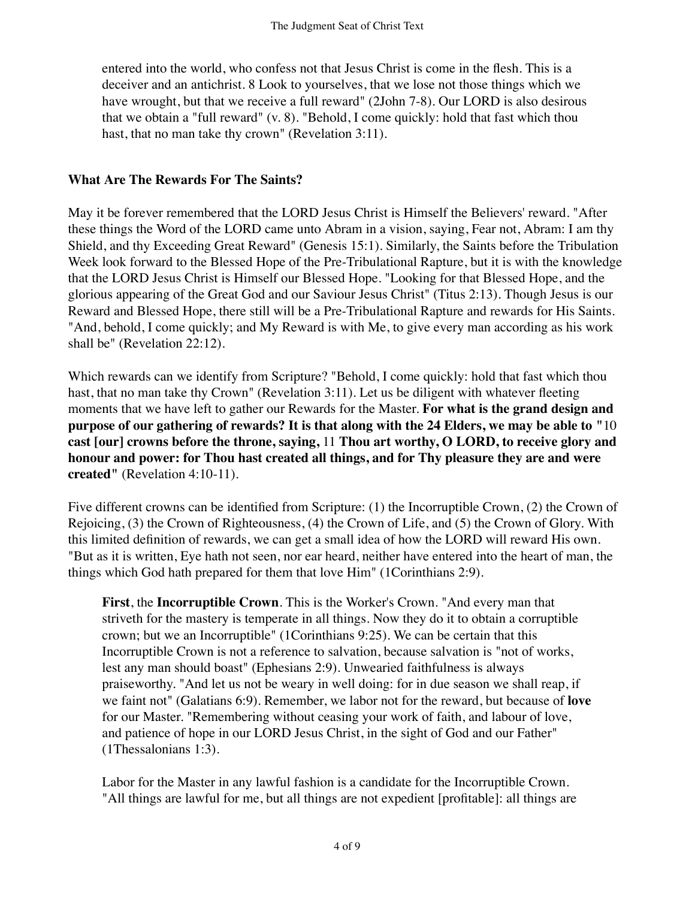entered into the world, who confess not that Jesus Christ is come in the flesh. This is a deceiver and an antichrist. 8 Look to yourselves, that we lose not those things which we have wrought, but that we receive a full reward" (2John 7-8). Our LORD is also desirous that we obtain a "full reward" (v. 8). "Behold, I come quickly: hold that fast which thou hast, that no man take thy crown" (Revelation 3:11).

### **What Are The Rewards For The Saints?**

May it be forever remembered that the LORD Jesus Christ is Himself the Believers' reward. "After these things the Word of the LORD came unto Abram in a vision, saying, Fear not, Abram: I am thy Shield, and thy Exceeding Great Reward" (Genesis 15:1). Similarly, the Saints before the Tribulation Week look forward to the Blessed Hope of the Pre-Tribulational Rapture, but it is with the knowledge that the LORD Jesus Christ is Himself our Blessed Hope. "Looking for that Blessed Hope, and the glorious appearing of the Great God and our Saviour Jesus Christ" (Titus 2:13). Though Jesus is our Reward and Blessed Hope, there still will be a Pre-Tribulational Rapture and rewards for His Saints. "And, behold, I come quickly; and My Reward is with Me, to give every man according as his work shall be" (Revelation 22:12).

Which rewards can we identify from Scripture? "Behold, I come quickly: hold that fast which thou hast, that no man take thy Crown" (Revelation 3:11). Let us be diligent with whatever fleeting moments that we have left to gather our Rewards for the Master. **For what is the grand design and purpose of our gathering of rewards? It is that along with the 24 Elders, we may be able to "**10 **cast [our] crowns before the throne, saying,** 11 **Thou art worthy, O LORD, to receive glory and honour and power: for Thou hast created all things, and for Thy pleasure they are and were created"** (Revelation 4:10-11).

Five different crowns can be identified from Scripture: (1) the Incorruptible Crown, (2) the Crown of Rejoicing, (3) the Crown of Righteousness, (4) the Crown of Life, and (5) the Crown of Glory. With this limited definition of rewards, we can get a small idea of how the LORD will reward His own. "But as it is written, Eye hath not seen, nor ear heard, neither have entered into the heart of man, the things which God hath prepared for them that love Him" (1Corinthians 2:9).

**First**, the **Incorruptible Crown**. This is the Worker's Crown. "And every man that striveth for the mastery is temperate in all things. Now they do it to obtain a corruptible crown; but we an Incorruptible" (1Corinthians 9:25). We can be certain that this Incorruptible Crown is not a reference to salvation, because salvation is "not of works, lest any man should boast" (Ephesians 2:9). Unwearied faithfulness is always praiseworthy. "And let us not be weary in well doing: for in due season we shall reap, if we faint not" (Galatians 6:9). Remember, we labor not for the reward, but because of **love** for our Master. "Remembering without ceasing your work of faith, and labour of love, and patience of hope in our LORD Jesus Christ, in the sight of God and our Father" (1Thessalonians 1:3).

Labor for the Master in any lawful fashion is a candidate for the Incorruptible Crown. "All things are lawful for me, but all things are not expedient [profitable]: all things are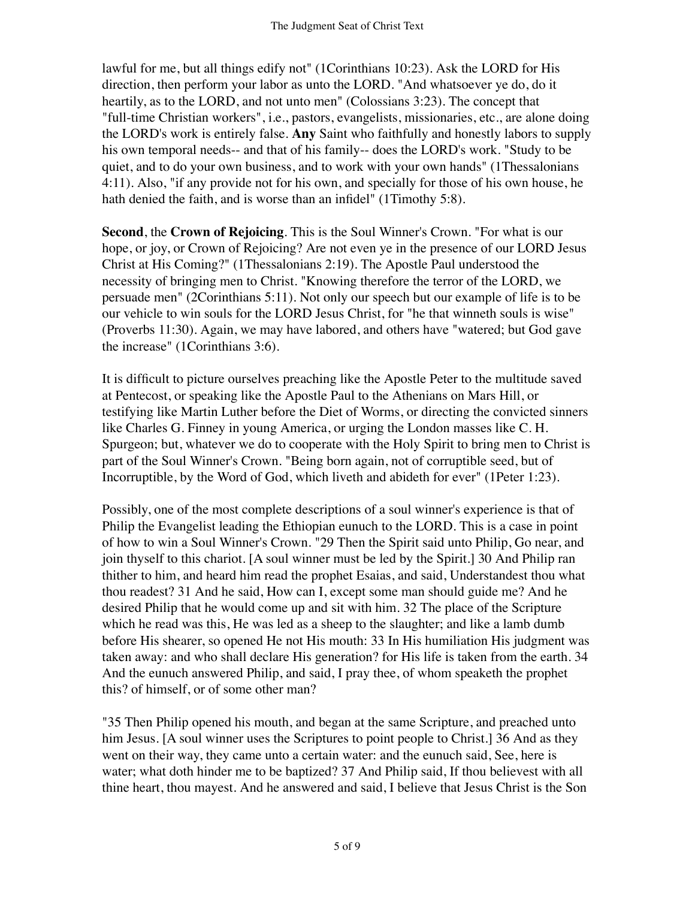lawful for me, but all things edify not" (1Corinthians 10:23). Ask the LORD for His direction, then perform your labor as unto the LORD. "And whatsoever ye do, do it heartily, as to the LORD, and not unto men" (Colossians 3:23). The concept that "full-time Christian workers", i.e., pastors, evangelists, missionaries, etc., are alone doing the LORD's work is entirely false. **Any** Saint who faithfully and honestly labors to supply his own temporal needs-- and that of his family-- does the LORD's work. "Study to be quiet, and to do your own business, and to work with your own hands" (1Thessalonians 4:11). Also, "if any provide not for his own, and specially for those of his own house, he hath denied the faith, and is worse than an infidel" (1Timothy 5:8).

**Second**, the **Crown of Rejoicing**. This is the Soul Winner's Crown. "For what is our hope, or joy, or Crown of Rejoicing? Are not even ye in the presence of our LORD Jesus Christ at His Coming?" (1Thessalonians 2:19). The Apostle Paul understood the necessity of bringing men to Christ. "Knowing therefore the terror of the LORD, we persuade men" (2Corinthians 5:11). Not only our speech but our example of life is to be our vehicle to win souls for the LORD Jesus Christ, for "he that winneth souls is wise" (Proverbs 11:30). Again, we may have labored, and others have "watered; but God gave the increase" (1Corinthians 3:6).

It is difficult to picture ourselves preaching like the Apostle Peter to the multitude saved at Pentecost, or speaking like the Apostle Paul to the Athenians on Mars Hill, or testifying like Martin Luther before the Diet of Worms, or directing the convicted sinners like Charles G. Finney in young America, or urging the London masses like C. H. Spurgeon; but, whatever we do to cooperate with the Holy Spirit to bring men to Christ is part of the Soul Winner's Crown. "Being born again, not of corruptible seed, but of Incorruptible, by the Word of God, which liveth and abideth for ever" (1Peter 1:23).

Possibly, one of the most complete descriptions of a soul winner's experience is that of Philip the Evangelist leading the Ethiopian eunuch to the LORD. This is a case in point of how to win a Soul Winner's Crown. "29 Then the Spirit said unto Philip, Go near, and join thyself to this chariot. [A soul winner must be led by the Spirit.] 30 And Philip ran thither to him, and heard him read the prophet Esaias, and said, Understandest thou what thou readest? 31 And he said, How can I, except some man should guide me? And he desired Philip that he would come up and sit with him. 32 The place of the Scripture which he read was this, He was led as a sheep to the slaughter; and like a lamb dumb before His shearer, so opened He not His mouth: 33 In His humiliation His judgment was taken away: and who shall declare His generation? for His life is taken from the earth. 34 And the eunuch answered Philip, and said, I pray thee, of whom speaketh the prophet this? of himself, or of some other man?

"35 Then Philip opened his mouth, and began at the same Scripture, and preached unto him Jesus. [A soul winner uses the Scriptures to point people to Christ.] 36 And as they went on their way, they came unto a certain water: and the eunuch said, See, here is water; what doth hinder me to be baptized? 37 And Philip said, If thou believest with all thine heart, thou mayest. And he answered and said, I believe that Jesus Christ is the Son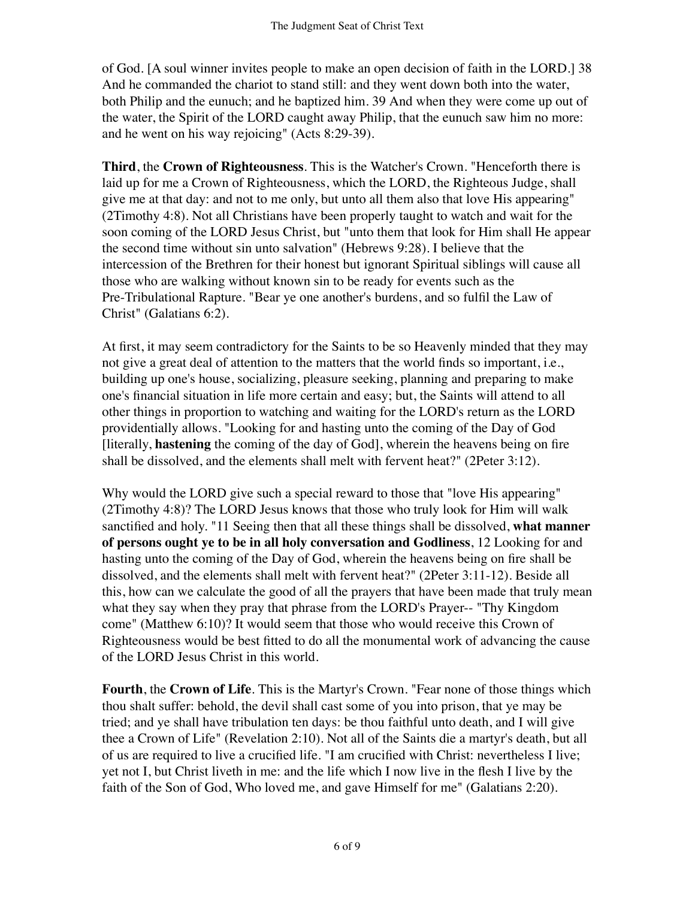of God. [A soul winner invites people to make an open decision of faith in the LORD.] 38 And he commanded the chariot to stand still: and they went down both into the water, both Philip and the eunuch; and he baptized him. 39 And when they were come up out of the water, the Spirit of the LORD caught away Philip, that the eunuch saw him no more: and he went on his way rejoicing" (Acts 8:29-39).

**Third**, the **Crown of Righteousness**. This is the Watcher's Crown. "Henceforth there is laid up for me a Crown of Righteousness, which the LORD, the Righteous Judge, shall give me at that day: and not to me only, but unto all them also that love His appearing" (2Timothy 4:8). Not all Christians have been properly taught to watch and wait for the soon coming of the LORD Jesus Christ, but "unto them that look for Him shall He appear the second time without sin unto salvation" (Hebrews 9:28). I believe that the intercession of the Brethren for their honest but ignorant Spiritual siblings will cause all those who are walking without known sin to be ready for events such as the Pre-Tribulational Rapture. "Bear ye one another's burdens, and so fulfil the Law of Christ" (Galatians 6:2).

At first, it may seem contradictory for the Saints to be so Heavenly minded that they may not give a great deal of attention to the matters that the world finds so important, i.e., building up one's house, socializing, pleasure seeking, planning and preparing to make one's financial situation in life more certain and easy; but, the Saints will attend to all other things in proportion to watching and waiting for the LORD's return as the LORD providentially allows. "Looking for and hasting unto the coming of the Day of God [literally, **hastening** the coming of the day of God], wherein the heavens being on fire shall be dissolved, and the elements shall melt with fervent heat?" (2Peter 3:12).

Why would the LORD give such a special reward to those that "love His appearing" (2Timothy 4:8)? The LORD Jesus knows that those who truly look for Him will walk sanctified and holy. "11 Seeing then that all these things shall be dissolved, **what manner of persons ought ye to be in all holy conversation and Godliness**, 12 Looking for and hasting unto the coming of the Day of God, wherein the heavens being on fire shall be dissolved, and the elements shall melt with fervent heat?" (2Peter 3:11-12). Beside all this, how can we calculate the good of all the prayers that have been made that truly mean what they say when they pray that phrase from the LORD's Prayer-- "Thy Kingdom come" (Matthew 6:10)? It would seem that those who would receive this Crown of Righteousness would be best fitted to do all the monumental work of advancing the cause of the LORD Jesus Christ in this world.

**Fourth**, the **Crown of Life**. This is the Martyr's Crown. "Fear none of those things which thou shalt suffer: behold, the devil shall cast some of you into prison, that ye may be tried; and ye shall have tribulation ten days: be thou faithful unto death, and I will give thee a Crown of Life" (Revelation 2:10). Not all of the Saints die a martyr's death, but all of us are required to live a crucified life. "I am crucified with Christ: nevertheless I live; yet not I, but Christ liveth in me: and the life which I now live in the flesh I live by the faith of the Son of God, Who loved me, and gave Himself for me" (Galatians 2:20).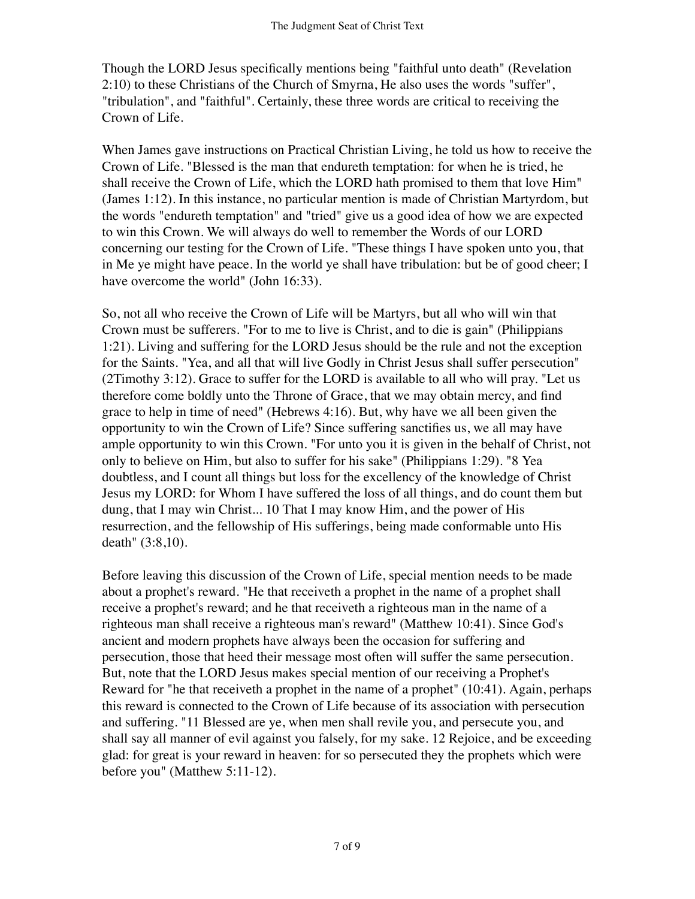Though the LORD Jesus specifically mentions being "faithful unto death" (Revelation 2:10) to these Christians of the Church of Smyrna, He also uses the words "suffer", "tribulation", and "faithful". Certainly, these three words are critical to receiving the Crown of Life.

When James gave instructions on Practical Christian Living, he told us how to receive the Crown of Life. "Blessed is the man that endureth temptation: for when he is tried, he shall receive the Crown of Life, which the LORD hath promised to them that love Him" (James 1:12). In this instance, no particular mention is made of Christian Martyrdom, but the words "endureth temptation" and "tried" give us a good idea of how we are expected to win this Crown. We will always do well to remember the Words of our LORD concerning our testing for the Crown of Life. "These things I have spoken unto you, that in Me ye might have peace. In the world ye shall have tribulation: but be of good cheer; I have overcome the world" (John 16:33).

So, not all who receive the Crown of Life will be Martyrs, but all who will win that Crown must be sufferers. "For to me to live is Christ, and to die is gain" (Philippians 1:21). Living and suffering for the LORD Jesus should be the rule and not the exception for the Saints. "Yea, and all that will live Godly in Christ Jesus shall suffer persecution" (2Timothy 3:12). Grace to suffer for the LORD is available to all who will pray. "Let us therefore come boldly unto the Throne of Grace, that we may obtain mercy, and find grace to help in time of need" (Hebrews 4:16). But, why have we all been given the opportunity to win the Crown of Life? Since suffering sanctifies us, we all may have ample opportunity to win this Crown. "For unto you it is given in the behalf of Christ, not only to believe on Him, but also to suffer for his sake" (Philippians 1:29). "8 Yea doubtless, and I count all things but loss for the excellency of the knowledge of Christ Jesus my LORD: for Whom I have suffered the loss of all things, and do count them but dung, that I may win Christ... 10 That I may know Him, and the power of His resurrection, and the fellowship of His sufferings, being made conformable unto His death" (3:8,10).

Before leaving this discussion of the Crown of Life, special mention needs to be made about a prophet's reward. "He that receiveth a prophet in the name of a prophet shall receive a prophet's reward; and he that receiveth a righteous man in the name of a righteous man shall receive a righteous man's reward" (Matthew 10:41). Since God's ancient and modern prophets have always been the occasion for suffering and persecution, those that heed their message most often will suffer the same persecution. But, note that the LORD Jesus makes special mention of our receiving a Prophet's Reward for "he that receiveth a prophet in the name of a prophet" (10:41). Again, perhaps this reward is connected to the Crown of Life because of its association with persecution and suffering. "11 Blessed are ye, when men shall revile you, and persecute you, and shall say all manner of evil against you falsely, for my sake. 12 Rejoice, and be exceeding glad: for great is your reward in heaven: for so persecuted they the prophets which were before you" (Matthew 5:11-12).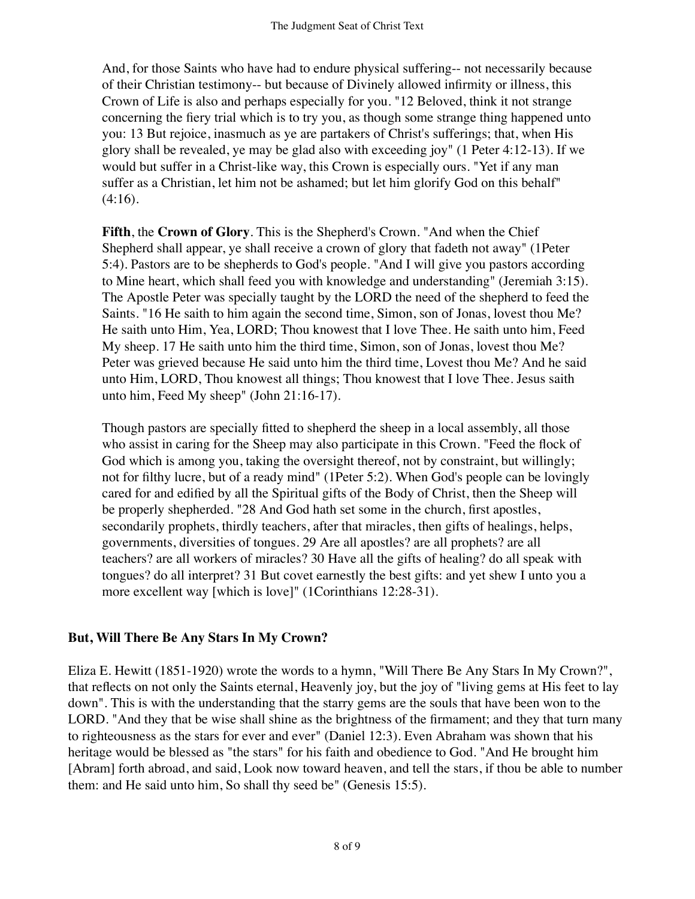And, for those Saints who have had to endure physical suffering-- not necessarily because of their Christian testimony-- but because of Divinely allowed infirmity or illness, this Crown of Life is also and perhaps especially for you. "12 Beloved, think it not strange concerning the fiery trial which is to try you, as though some strange thing happened unto you: 13 But rejoice, inasmuch as ye are partakers of Christ's sufferings; that, when His glory shall be revealed, ye may be glad also with exceeding joy" (1 Peter 4:12-13). If we would but suffer in a Christ-like way, this Crown is especially ours. "Yet if any man suffer as a Christian, let him not be ashamed; but let him glorify God on this behalf"  $(4:16).$ 

**Fifth**, the **Crown of Glory**. This is the Shepherd's Crown. "And when the Chief Shepherd shall appear, ye shall receive a crown of glory that fadeth not away" (1Peter 5:4). Pastors are to be shepherds to God's people. "And I will give you pastors according to Mine heart, which shall feed you with knowledge and understanding" (Jeremiah 3:15). The Apostle Peter was specially taught by the LORD the need of the shepherd to feed the Saints. "16 He saith to him again the second time, Simon, son of Jonas, lovest thou Me? He saith unto Him, Yea, LORD; Thou knowest that I love Thee. He saith unto him, Feed My sheep. 17 He saith unto him the third time, Simon, son of Jonas, lovest thou Me? Peter was grieved because He said unto him the third time, Lovest thou Me? And he said unto Him, LORD, Thou knowest all things; Thou knowest that I love Thee. Jesus saith unto him, Feed My sheep" (John 21:16-17).

Though pastors are specially fitted to shepherd the sheep in a local assembly, all those who assist in caring for the Sheep may also participate in this Crown. "Feed the flock of God which is among you, taking the oversight thereof, not by constraint, but willingly; not for filthy lucre, but of a ready mind" (1Peter 5:2). When God's people can be lovingly cared for and edified by all the Spiritual gifts of the Body of Christ, then the Sheep will be properly shepherded. "28 And God hath set some in the church, first apostles, secondarily prophets, thirdly teachers, after that miracles, then gifts of healings, helps, governments, diversities of tongues. 29 Are all apostles? are all prophets? are all teachers? are all workers of miracles? 30 Have all the gifts of healing? do all speak with tongues? do all interpret? 31 But covet earnestly the best gifts: and yet shew I unto you a more excellent way [which is love]" (1Corinthians 12:28-31).

## **But, Will There Be Any Stars In My Crown?**

Eliza E. Hewitt (1851-1920) wrote the words to a hymn, "Will There Be Any Stars In My Crown?", that reflects on not only the Saints eternal, Heavenly joy, but the joy of "living gems at His feet to lay down". This is with the understanding that the starry gems are the souls that have been won to the LORD. "And they that be wise shall shine as the brightness of the firmament; and they that turn many to righteousness as the stars for ever and ever" (Daniel 12:3). Even Abraham was shown that his heritage would be blessed as "the stars" for his faith and obedience to God. "And He brought him [Abram] forth abroad, and said, Look now toward heaven, and tell the stars, if thou be able to number them: and He said unto him, So shall thy seed be" (Genesis 15:5).